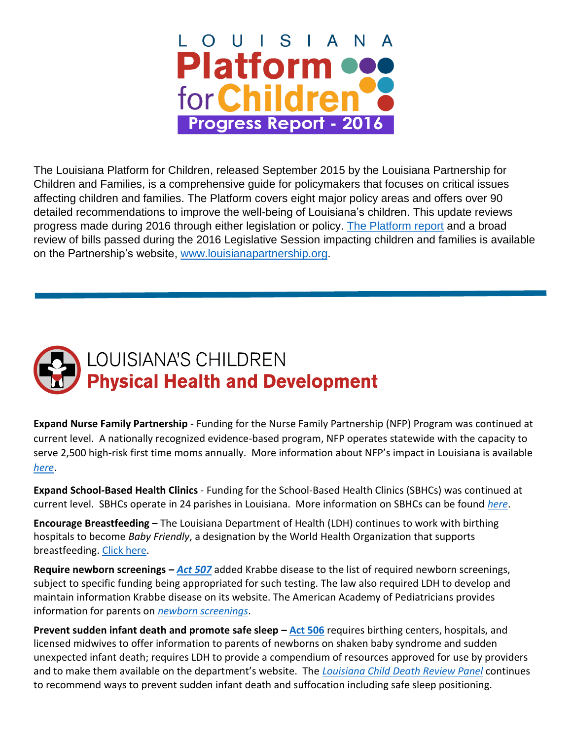

The Louisiana Platform for Children, released September 2015 by the Louisiana Partnership for Children and Families, is a comprehensive guide for policymakers that focuses on critical issues affecting children and families. The Platform covers eight major policy areas and offers over 90 detailed recommendations to improve the well-being of Louisiana's children. This update reviews progress made during 2016 through either legislation or policy. [The Platform report](http://www.louisianapartnership.org/Resources/Documents/Platform%20for%20Children%20Full%20Report.pdf) and a broad review of bills passed during the 2016 Legislative Session impacting children and families is available on the Partnership's website, [www.louisianapartnership.org.](http://www.louisianapartnership.org/)



**Expand Nurse Family Partnership** - Funding for the Nurse Family Partnership (NFP) Program was continued at current level. A nationally recognized evidence-based program, NFP operates statewide with the capacity to serve 2,500 high-risk first time moms annually. More information about NFP's impact in Louisiana is available *[here](http://www.nursefamilypartnership.org/getattachment/locations/Louisiana/LA_State_Profile.pdf.aspx)*.

**Expand School-Based Health Clinics** - Funding for the School-Based Health Clinics (SBHCs) was continued at current level. SBHCs operate in 24 parishes in Louisiana. More information on SBHCs can be found *[here](http://new.dhh.louisiana.gov/index.cfm/page/565)*.

**Encourage Breastfeeding** – The Louisiana Department of Health (LDH) continues to work with birthing hospitals to become *Baby Friendly*, a designation by the World Health Organization that supports breastfeeding. [Click here.](https://www.babyfriendlyusa.org/about-us)

**Require newborn screenings –** *[Act 507](http://www.legis.la.gov/legis/ViewDocument.aspx?d=1012404)* added Krabbe disease to the list of required newborn screenings, subject to specific funding being appropriated for such testing. The law also required LDH to develop and maintain information Krabbe disease on its website. The American Academy of Pediatricians provides information for parents on *[newborn screenings](https://www.aap.org/en-us/advocacy-and-policy/aap-health-initiatives/PEHDIC/Pages/Newborn-Screening.aspx)*.

**Prevent sudden infant death and promote safe sleep – [Act 506](http://www.legis.la.gov/legis/BillInfo.aspx?s=16RS&b=HB171&sbi=y)** requires birthing centers, hospitals, and licensed midwives to offer information to parents of newborns on shaken baby syndrome and sudden unexpected infant death; requires LDH to provide a compendium of resources approved for use by providers and to make them available on the department's website. The *Louisiana Child [Death Review Panel](http://dhh.louisiana.gov/index.cfm/page/1348)* continues to recommend ways to prevent sudden infant death and suffocation including safe sleep positioning.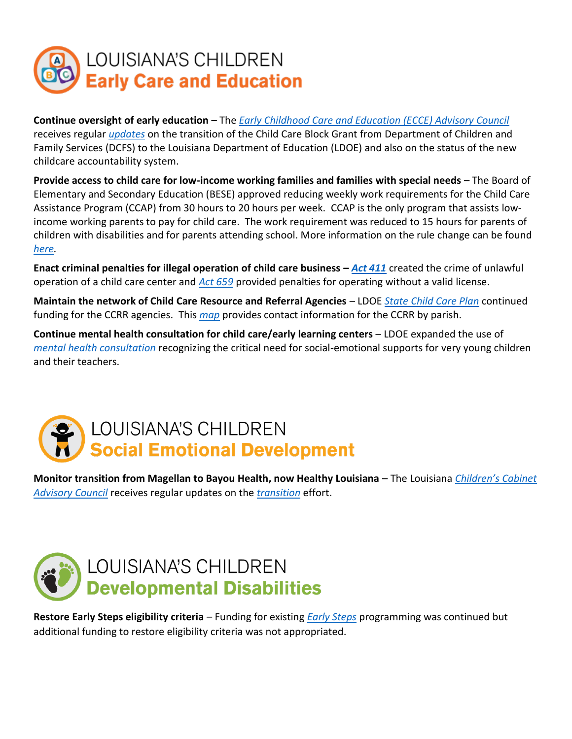

**Continue oversight of early education** – The *[Early Childhood Care and Education \(ECCE\) Advisory Council](http://www.louisianabelieves.com/docs/default-source/early-childhood/early-childhood-care-and-education-(ecce)-advisory-council-overview.pdf?sfvrsn=4)* receives regular *[updates](https://www.louisianabelieves.com/resources/library/lead-agencies)* on the transition of the Child Care Block Grant from Department of Children and Family Services (DCFS) to the Louisiana Department of Education (LDOE) and also on the status of the new childcare accountability system.

**Provide access to child care for low-income working families and families with special needs** – The Board of Elementary and Secondary Education (BESE) approved reducing weekly work requirements for the Child Care Assistance Program (CCAP) from 30 hours to 20 hours per week. CCAP is the only program that assists lowincome working parents to pay for child care. The work requirement was reduced to 15 hours for parents of children with disabilities and for parents attending school. More information on the rule change can be found *[here.](http://www.boarddocs.com/la/bese/Board.nsf/files/ACBSRN73F53E/$file/AGII_5.2_July_ECCE_Aug_2016.pdf)*

**Enact criminal penalties for illegal operation of child care business –** *[Act 411](http://www.legis.la.gov/legis/BillInfo.aspx?i=228908)* created the crime of unlawful operation of a child care center and *[Act 659](http://www.legis.la.gov/legis/BillInfo.aspx?i=229163)* provided penalties for operating without a valid license.

**Maintain the network of Child Care Resource and Referral Agencies** – LDOE *[State Child Care Plan](https://www.acf.hhs.gov/sites/default/files/occ/louisiana_stplan_pdf_2016.pdf)* continued funding for the CCRR agencies. This *[map](http://www.louisianabelieves.com/docs/default-source/early-childhood/early-childhood-map---child-care-resource.pdf?sfvrsn=24)* provides contact information for the CCRR by parish.

**Continue mental health consultation for child care/early learning centers** – LDOE expanded the use of *[mental health consultation](http://www.qrslouisiana.org/child-care-providers/child-care-center-mental-health-consultation)* recognizing the critical need for social-emotional supports for very young children and their teachers.



**Monitor transition from Magellan to Bayou Health, now Healthy Louisiana** – The Louisiana *[Children's Cabinet](http://gov.louisiana.gov/page/childrens-cabinet)  [Advisory Council](http://gov.louisiana.gov/page/childrens-cabinet)* receives regular updates on the *[transition](http://dhh.louisiana.gov/index.cfm/page/2267)* effort.



**Restore Early Steps eligibility criteria** – Funding for existing *[Early Steps](http://ldh.louisiana.gov/index.cfm/page/139/n/139)* programming was continued but additional funding to restore eligibility criteria was not appropriated.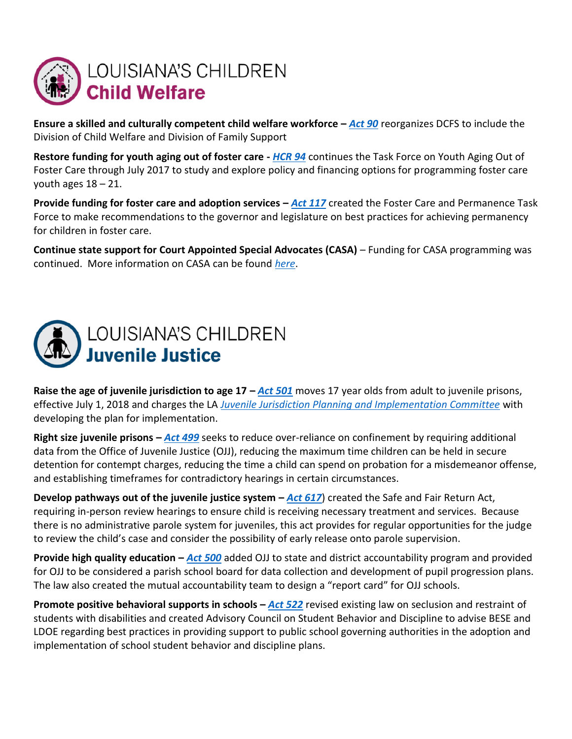

**Ensure a skilled and culturally competent child welfare workforce –** *[Act 90](http://www.legis.la.gov/legis/BillInfo.aspx?s=16RS&b=HB475&sbi=y)* reorganizes DCFS to include the Division of Child Welfare and Division of Family Support

**Restore funding for youth aging out of foster care -** *[HCR 94](http://www.legis.la.gov/legis/ViewDocument.aspx?d=1006911)* continues the Task Force on Youth Aging Out of Foster Care through July 2017 to study and explore policy and financing options for programming foster care youth ages 18 – 21.

**Provide funding for foster care and adoption services –** *[Act 117](http://www.legis.la.gov/legis/BillInfo.aspx?i=229339)* created the Foster Care and Permanence Task Force to make recommendations to the governor and legislature on best practices for achieving permanency for children in foster care.

**Continue state support for Court Appointed Special Advocates (CASA)** – Funding for CASA programming was continued. More information on CASA can be found *[here](https://www.lasc.org/court_managed_prog/CASA.asp)*.



**Raise the age of juvenile jurisdiction to age 17 –** *[Act 501](http://www.legis.la.gov/legis/BillInfo.aspx?s=16RS&b=SB324&sbi=y)* moves 17 year olds from adult to juvenile prisons, effective July 1, 2018 and charges the LA *[Juvenile Jurisdiction Planning and Implementation Committee](https://www.legis.la.gov/legis/BoardMembers.aspx?boardId=1017)* with developing the plan for implementation.

**Right size juvenile prisons –** *[Act 499](http://www.legis.la.gov/legis/BillInfo.aspx?s=16RS&b=SB301&sbi=y)* seeks to reduce over-reliance on confinement by requiring additional data from the Office of Juvenile Justice (OJJ), reducing the maximum time children can be held in secure detention for contempt charges, reducing the time a child can spend on probation for a misdemeanor offense, and establishing timeframes for contradictory hearings in certain circumstances.

**Develop pathways out of the juvenile justice system**  $-\text{Act } 617$ **) created the Safe and Fair Return Act,** requiring in-person review hearings to ensure child is receiving necessary treatment and services. Because there is no administrative parole system for juveniles, this act provides for regular opportunities for the judge to review the child's case and consider the possibility of early release onto parole supervision.

**Provide high quality education –** *[Act 500](https://www.legis.la.gov/legis/BillInfo.aspx?s=16RS&b=SB303&sbi=y)* added OJJ to state and district accountability program and provided for OJJ to be considered a parish school board for data collection and development of pupil progression plans. The law also created the mutual accountability team to design a "report card" for OJJ schools.

**Promote positive behavioral supports in schools –** *[Act 522](https://www.legis.la.gov/legis/BillInfo.aspx?s=16RS&b=SB317&sbi=y)* revised existing law on seclusion and restraint of students with disabilities and created Advisory Council on Student Behavior and Discipline to advise BESE and LDOE regarding best practices in providing support to public school governing authorities in the adoption and implementation of school student behavior and discipline plans.